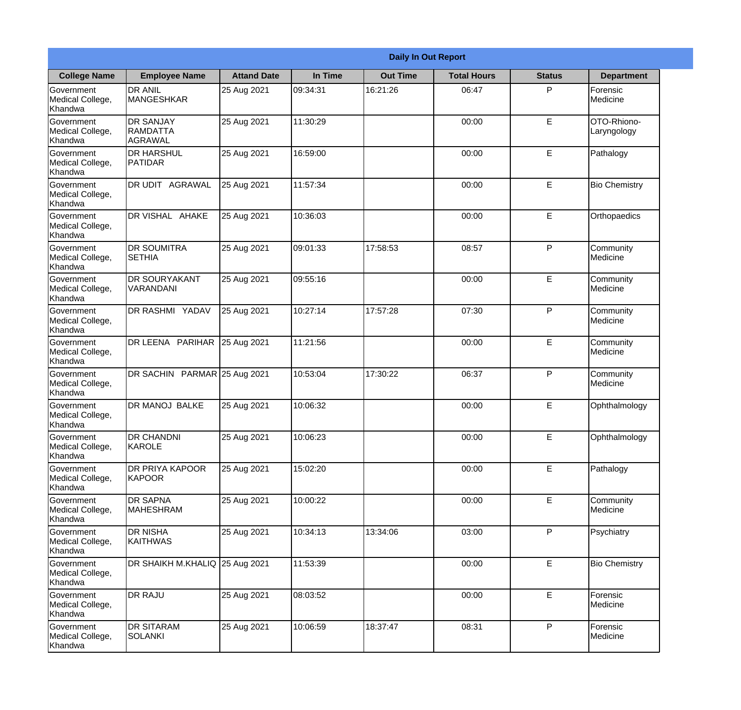|                                                  |                                         | <b>Daily In Out Report</b> |          |                 |                    |               |                            |
|--------------------------------------------------|-----------------------------------------|----------------------------|----------|-----------------|--------------------|---------------|----------------------------|
| <b>College Name</b>                              | <b>Employee Name</b>                    | <b>Attand Date</b>         | In Time  | <b>Out Time</b> | <b>Total Hours</b> | <b>Status</b> | <b>Department</b>          |
| Government<br>Medical College,<br>Khandwa        | <b>DR ANIL</b><br><b>MANGESHKAR</b>     | 25 Aug 2021                | 09:34:31 | 16:21:26        | 06:47              | P             | Forensic<br>Medicine       |
| Government<br>Medical College,<br>Khandwa        | <b>DR SANJAY</b><br>RAMDATTA<br>AGRAWAL | 25 Aug 2021                | 11:30:29 |                 | 00:00              | E             | OTO-Rhiono-<br>Laryngology |
| <b>Government</b><br>Medical College,<br>Khandwa | <b>DR HARSHUL</b><br><b>PATIDAR</b>     | 25 Aug 2021                | 16:59:00 |                 | 00:00              | E             | Pathalogy                  |
| <b>Government</b><br>Medical College,<br>Khandwa | DR UDIT AGRAWAL                         | 25 Aug 2021                | 11:57:34 |                 | 00:00              | E             | <b>Bio Chemistry</b>       |
| Government<br>Medical College,<br>Khandwa        | DR VISHAL AHAKE                         | 25 Aug 2021                | 10:36:03 |                 | 00:00              | E             | Orthopaedics               |
| Government<br>Medical College,<br>Khandwa        | <b>DR SOUMITRA</b><br><b>SETHIA</b>     | 25 Aug 2021                | 09:01:33 | 17:58:53        | 08:57              | P             | Community<br>Medicine      |
| <b>Government</b><br>Medical College,<br>Khandwa | <b>DR SOURYAKANT</b><br>VARANDANI       | 25 Aug 2021                | 09:55:16 |                 | 00:00              | E             | Community<br>Medicine      |
| <b>Government</b><br>Medical College,<br>Khandwa | DR RASHMI YADAV                         | 25 Aug 2021                | 10:27:14 | 17:57:28        | 07:30              | P             | Community<br>Medicine      |
| Government<br>Medical College,<br>Khandwa        | DR LEENA PARIHAR                        | 25 Aug 2021                | 11:21:56 |                 | 00:00              | E             | Community<br>Medicine      |
| Government<br>Medical College,<br>Khandwa        | DR SACHIN PARMAR 25 Aug 2021            |                            | 10:53:04 | 17:30:22        | 06:37              | P             | Community<br>Medicine      |
| Government<br>Medical College,<br>Khandwa        | <b>DR MANOJ BALKE</b>                   | 25 Aug 2021                | 10:06:32 |                 | 00:00              | E             | Ophthalmology              |
| Government<br>Medical College,<br>Khandwa        | <b>DR CHANDNI</b><br>KAROLE             | 25 Aug 2021                | 10:06:23 |                 | 00:00              | E             | Ophthalmology              |
| Government<br>Medical College,<br>Khandwa        | DR PRIYA KAPOOR<br><b>KAPOOR</b>        | 25 Aug 2021                | 15:02:20 |                 | 00:00              | E             | Pathalogy                  |
| Government<br>Medical College,<br>Khandwa        | <b>DR SAPNA</b><br><b>MAHESHRAM</b>     | 25 Aug 2021                | 10:00:22 |                 | 00:00              | E             | Community<br>Medicine      |
| Government<br>Medical College,<br>Khandwa        | <b>DR NISHA</b><br><b>KAITHWAS</b>      | 25 Aug 2021                | 10:34:13 | 13:34:06        | 03:00              | P             | Psychiatry                 |
| Government<br>Medical College,<br>Khandwa        | DR SHAIKH M.KHALIQ 25 Aug 2021          |                            | 11:53:39 |                 | 00:00              | E             | <b>Bio Chemistry</b>       |
| Government<br>Medical College,<br>Khandwa        | <b>DR RAJU</b>                          | 25 Aug 2021                | 08:03:52 |                 | 00:00              | E             | Forensic<br>Medicine       |
| Government<br>Medical College,<br>Khandwa        | <b>DR SITARAM</b><br><b>SOLANKI</b>     | 25 Aug 2021                | 10:06:59 | 18:37:47        | 08:31              | $\mathsf{P}$  | Forensic<br>Medicine       |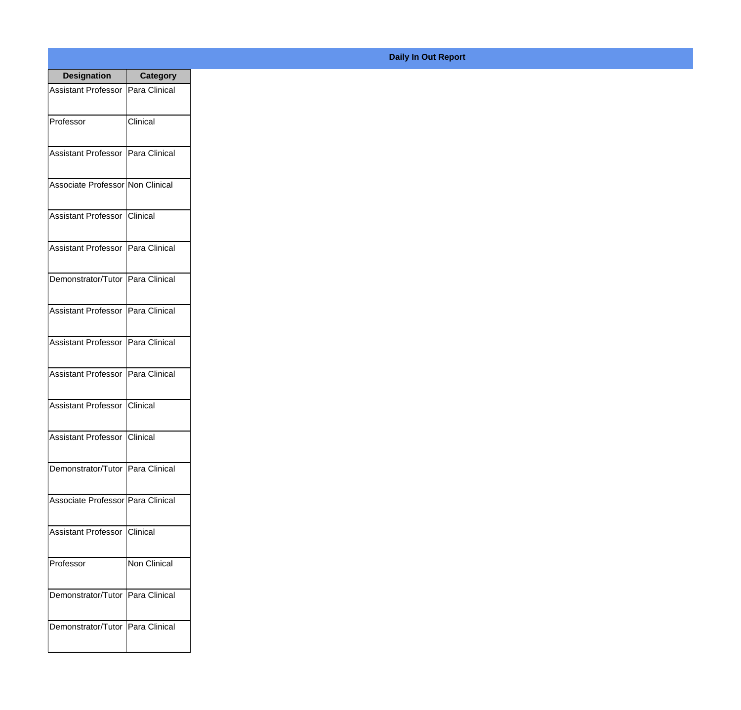| <b>Designation</b>                  | <b>Category</b> |
|-------------------------------------|-----------------|
| Assistant Professor   Para Clinical |                 |
| Professor                           | Clinical        |
| Assistant Professor   Para Clinical |                 |
| Associate Professor Non Clinical    |                 |
| Assistant Professor   Clinical      |                 |
| Assistant Professor   Para Clinical |                 |
| Demonstrator/Tutor   Para Clinical  |                 |
| Assistant Professor   Para Clinical |                 |
| Assistant Professor   Para Clinical |                 |
| <b>Assistant Professor</b>          | Para Clinical   |
| Assistant Professor                 | <b>Clinical</b> |
| Assistant Professor   Clinical      |                 |
| Demonstrator/Tutor   Para Clinical  |                 |
| Associate Professor Para Clinical   |                 |
| Assistant Professor   Clinical      |                 |
| Professor                           | Non Clinical    |
| Demonstrator/Tutor   Para Clinical  |                 |
| Demonstrator/Tutor   Para Clinical  |                 |

## **Daily In Out Report**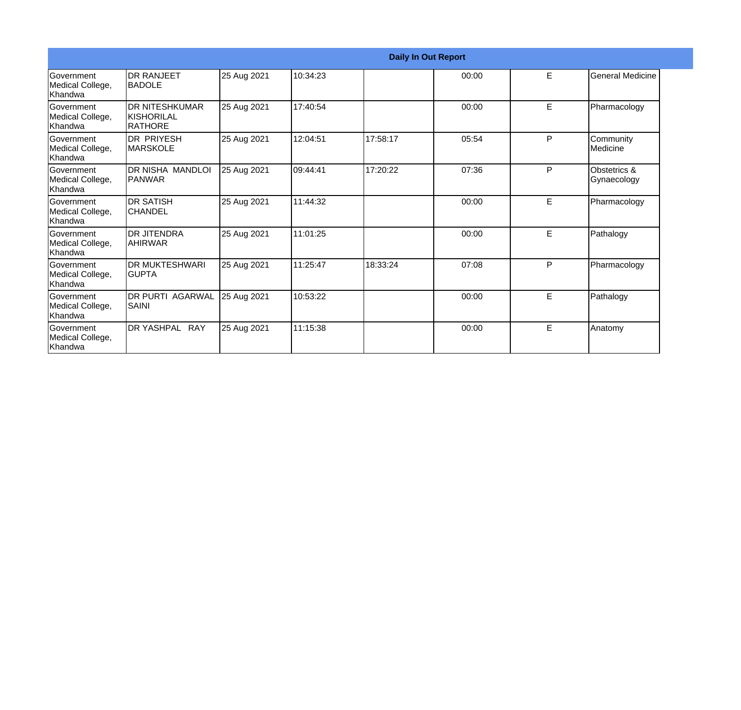|                                                   |                                                       |             |          |          | <b>Daily In Out Report</b> |   |                             |
|---------------------------------------------------|-------------------------------------------------------|-------------|----------|----------|----------------------------|---|-----------------------------|
| <b>Government</b><br>Medical College,<br>Khandwa  | <b>DR RANJEET</b><br><b>BADOLE</b>                    | 25 Aug 2021 | 10:34:23 |          | 00:00                      | E | <b>General Medicine</b>     |
| <b>Government</b><br>Medical College,<br>Khandwa  | <b>DR NITESHKUMAR</b><br><b>KISHORILAL</b><br>RATHORE | 25 Aug 2021 | 17:40:54 |          | 00:00                      | E | Pharmacology                |
| <b>Government</b><br>Medical College,<br>Khandwa  | <b>DR PRIYESH</b><br><b>MARSKOLE</b>                  | 25 Aug 2021 | 12:04:51 | 17:58:17 | 05:54                      | P | Community<br>Medicine       |
| Government<br>Medical College,<br>Khandwa         | DR NISHA MANDLOI<br><b>PANWAR</b>                     | 25 Aug 2021 | 09:44:41 | 17:20:22 | 07:36                      | P | Obstetrics &<br>Gynaecology |
| <b>Government</b><br>Medical College,<br>Khandwa  | <b>DR SATISH</b><br><b>CHANDEL</b>                    | 25 Aug 2021 | 11:44:32 |          | 00:00                      | E | Pharmacology                |
| Government<br>Medical College,<br>Khandwa         | <b>DR JITENDRA</b><br><b>AHIRWAR</b>                  | 25 Aug 2021 | 11:01:25 |          | 00:00                      | E | Pathalogy                   |
| <b>IGovernment</b><br>Medical College,<br>Khandwa | <b>DR MUKTESHWARI</b><br><b>GUPTA</b>                 | 25 Aug 2021 | 11:25:47 | 18:33:24 | 07:08                      | P | Pharmacology                |
| Government<br>Medical College,<br>Khandwa         | <b>DR PURTI AGARWAL</b><br><b>SAINI</b>               | 25 Aug 2021 | 10:53:22 |          | 00:00                      | E | Pathalogy                   |
| Government<br>Medical College,<br>Khandwa         | DR YASHPAL RAY                                        | 25 Aug 2021 | 11:15:38 |          | 00:00                      | E | Anatomy                     |